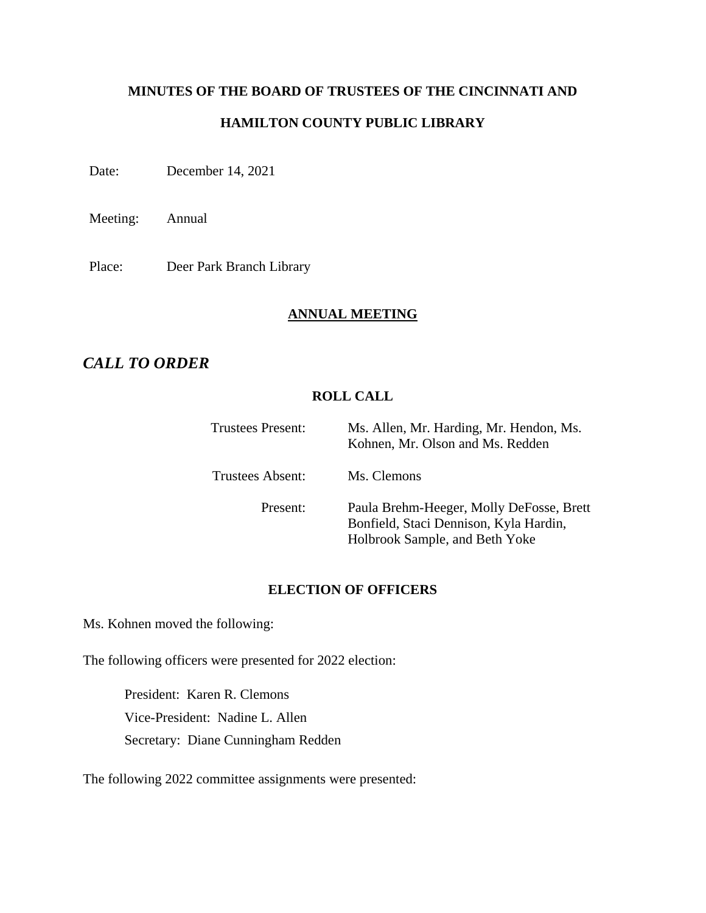# **MINUTES OF THE BOARD OF TRUSTEES OF THE CINCINNATI AND HAMILTON COUNTY PUBLIC LIBRARY**

Date: December 14, 2021

Meeting: Annual

Place: Deer Park Branch Library

## **ANNUAL MEETING**

# *CALL TO ORDER*

## **ROLL CALL**

| <b>Trustees Present:</b> | Ms. Allen, Mr. Harding, Mr. Hendon, Ms.<br>Kohnen, Mr. Olson and Ms. Redden                                          |  |
|--------------------------|----------------------------------------------------------------------------------------------------------------------|--|
| Trustees Absent:         | Ms. Clemons                                                                                                          |  |
| Present:                 | Paula Brehm-Heeger, Molly DeFosse, Brett<br>Bonfield, Staci Dennison, Kyla Hardin,<br>Holbrook Sample, and Beth Yoke |  |

### **ELECTION OF OFFICERS**

Ms. Kohnen moved the following:

The following officers were presented for 2022 election:

President: Karen R. Clemons Vice-President: Nadine L. Allen Secretary: Diane Cunningham Redden

The following 2022 committee assignments were presented: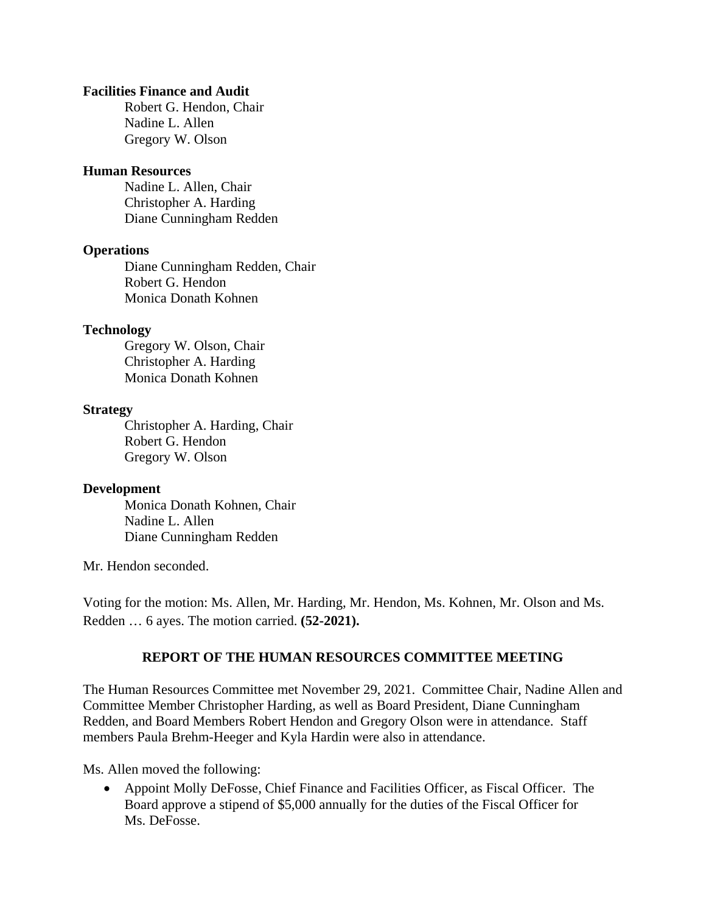#### **Facilities Finance and Audit**

Robert G. Hendon, Chair Nadine L. Allen Gregory W. Olson

#### **Human Resources**

Nadine L. Allen, Chair Christopher A. Harding Diane Cunningham Redden

#### **Operations**

Diane Cunningham Redden, Chair Robert G. Hendon Monica Donath Kohnen

#### **Technology**

Gregory W. Olson, Chair Christopher A. Harding Monica Donath Kohnen

#### **Strategy**

Christopher A. Harding, Chair Robert G. Hendon Gregory W. Olson

#### **Development**

Monica Donath Kohnen, Chair Nadine L. Allen Diane Cunningham Redden

Mr. Hendon seconded.

Voting for the motion: Ms. Allen, Mr. Harding, Mr. Hendon, Ms. Kohnen, Mr. Olson and Ms. Redden … 6 ayes. The motion carried. **(52-2021).**

#### **REPORT OF THE HUMAN RESOURCES COMMITTEE MEETING**

The Human Resources Committee met November 29, 2021. Committee Chair, Nadine Allen and Committee Member Christopher Harding, as well as Board President, Diane Cunningham Redden, and Board Members Robert Hendon and Gregory Olson were in attendance. Staff members Paula Brehm-Heeger and Kyla Hardin were also in attendance.

Ms. Allen moved the following:

• Appoint Molly DeFosse, Chief Finance and Facilities Officer, as Fiscal Officer. The Board approve a stipend of \$5,000 annually for the duties of the Fiscal Officer for Ms. DeFosse.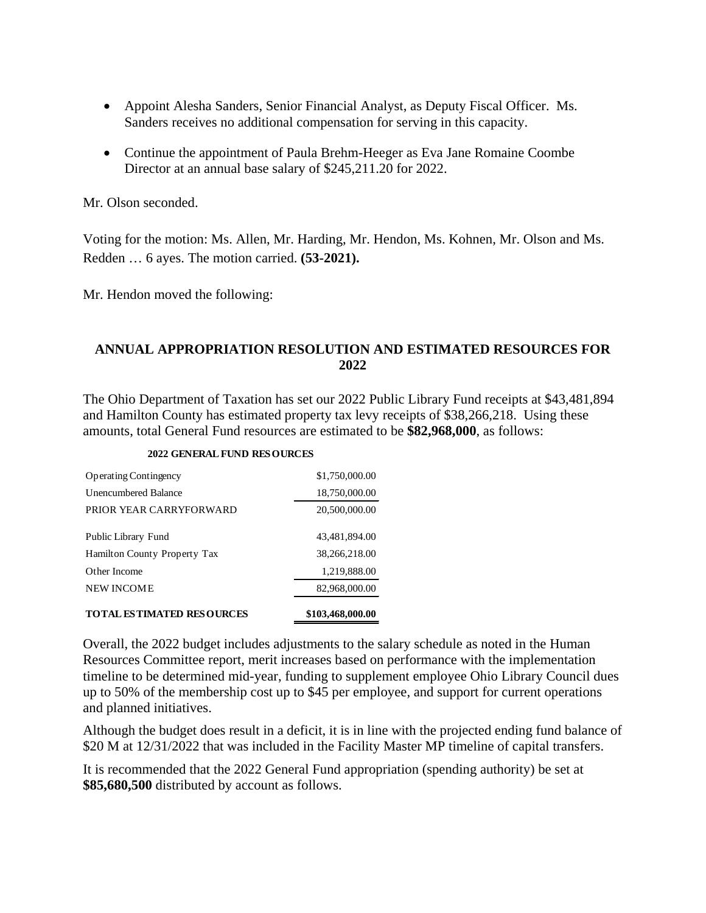- Appoint Alesha Sanders, Senior Financial Analyst, as Deputy Fiscal Officer. Ms. Sanders receives no additional compensation for serving in this capacity.
- Continue the appointment of Paula Brehm-Heeger as Eva Jane Romaine Coombe Director at an annual base salary of \$245,211.20 for 2022.

Mr. Olson seconded.

Voting for the motion: Ms. Allen, Mr. Harding, Mr. Hendon, Ms. Kohnen, Mr. Olson and Ms. Redden … 6 ayes. The motion carried. **(53-2021).**

Mr. Hendon moved the following:

## **ANNUAL APPROPRIATION RESOLUTION AND ESTIMATED RESOURCES FOR 2022**

The Ohio Department of Taxation has set our 2022 Public Library Fund receipts at \$43,481,894 and Hamilton County has estimated property tax levy receipts of \$38,266,218. Using these amounts, total General Fund resources are estimated to be **\$82,968,000**, as follows:

| <b>TOTAL ESTIMATED RESOURCES</b> | \$103,468,000.00 |
|----------------------------------|------------------|
| <b>NEW INCOME</b>                | 82,968,000.00    |
| Other Income                     | 1,219,888.00     |
| Hamilton County Property Tax     | 38,266,218.00    |
| Public Library Fund              | 43,481,894.00    |
| PRIOR YEAR CARRYFORWARD          | 20,500,000.00    |
| Unencumbered Balance             | 18,750,000.00    |
| <b>Operating Contingency</b>     | \$1,750,000.00   |

#### **2022 GENERAL FUND RESOURCES**

Overall, the 2022 budget includes adjustments to the salary schedule as noted in the Human Resources Committee report, merit increases based on performance with the implementation timeline to be determined mid-year, funding to supplement employee Ohio Library Council dues up to 50% of the membership cost up to \$45 per employee, and support for current operations and planned initiatives.

Although the budget does result in a deficit, it is in line with the projected ending fund balance of \$20 M at 12/31/2022 that was included in the Facility Master MP timeline of capital transfers.

It is recommended that the 2022 General Fund appropriation (spending authority) be set at **\$85,680,500** distributed by account as follows.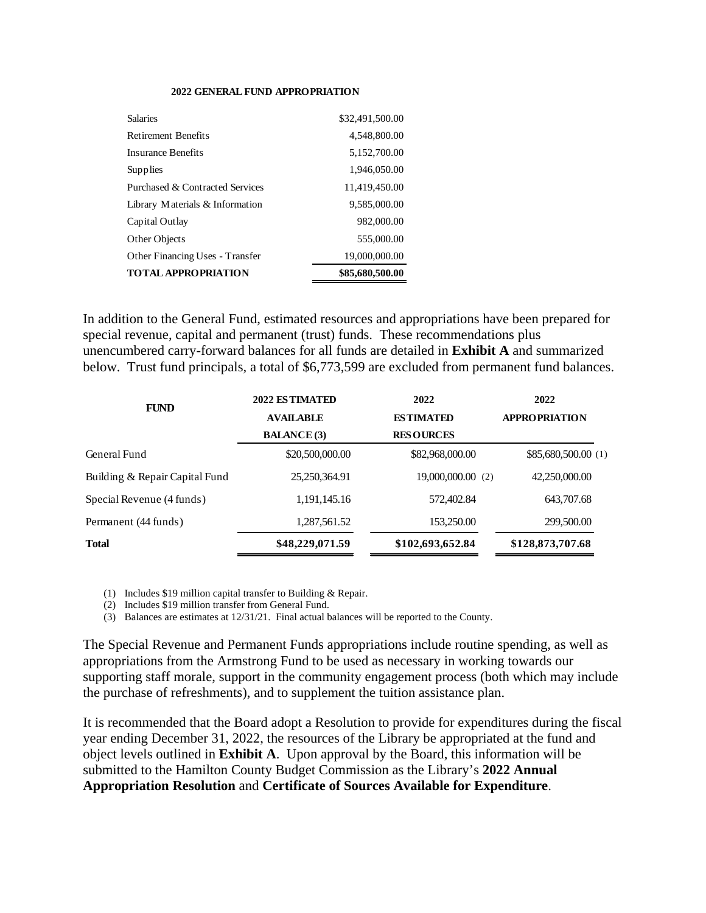#### **2022 GENERAL FUND APPROPRIATION**

| <b>Salaries</b>                        | \$32,491,500.00 |
|----------------------------------------|-----------------|
| <b>Retirement Benefits</b>             | 4,548,800.00    |
| <b>Insurance Benefits</b>              | 5,152,700.00    |
| Supplies                               | 1,946,050.00    |
| Purchased & Contracted Services        | 11,419,450.00   |
| Library Materials & Information        | 9,585,000.00    |
| Capital Outlay                         | 982,000.00      |
| Other Objects                          | 555,000.00      |
| <b>Other Financing Uses - Transfer</b> | 19,000,000.00   |
| <b>TOTAL APPROPRIATION</b>             | \$85,680,500.00 |

In addition to the General Fund, estimated resources and appropriations have been prepared for special revenue, capital and permanent (trust) funds. These recommendations plus unencumbered carry-forward balances for all funds are detailed in **Exhibit A** and summarized below. Trust fund principals, a total of \$6,773,599 are excluded from permanent fund balances.

| <b>FUND</b>                    | 2022 ESTIMATED     | 2022             | 2022                 |
|--------------------------------|--------------------|------------------|----------------------|
|                                | <b>AVAILABLE</b>   | <b>ESTIMATED</b> | <b>APPROPRIATION</b> |
|                                | <b>BALANCE</b> (3) | <b>RESOURCES</b> |                      |
| General Fund                   | \$20,500,000.00    | \$82,968,000.00  | \$85,680,500.00 (1)  |
| Building & Repair Capital Fund | 25,250,364.91      | 19,000,000.00(2) | 42,250,000.00        |
| Special Revenue (4 funds)      | 1,191,145.16       | 572,402.84       | 643,707.68           |
| Permanent (44 funds)           | 1,287,561.52       | 153,250.00       | 299,500.00           |
| <b>Total</b>                   | \$48,229,071.59    | \$102,693,652.84 | \$128,873,707.68     |

(1) Includes \$19 million capital transfer to Building & Repair.

(2) Includes \$19 million transfer from General Fund.

(3) Balances are estimates at 12/31/21. Final actual balances will be reported to the County.

The Special Revenue and Permanent Funds appropriations include routine spending, as well as appropriations from the Armstrong Fund to be used as necessary in working towards our supporting staff morale, support in the community engagement process (both which may include the purchase of refreshments), and to supplement the tuition assistance plan.

It is recommended that the Board adopt a Resolution to provide for expenditures during the fiscal year ending December 31, 2022, the resources of the Library be appropriated at the fund and object levels outlined in **Exhibit A**. Upon approval by the Board, this information will be submitted to the Hamilton County Budget Commission as the Library's **2022 Annual Appropriation Resolution** and **Certificate of Sources Available for Expenditure**.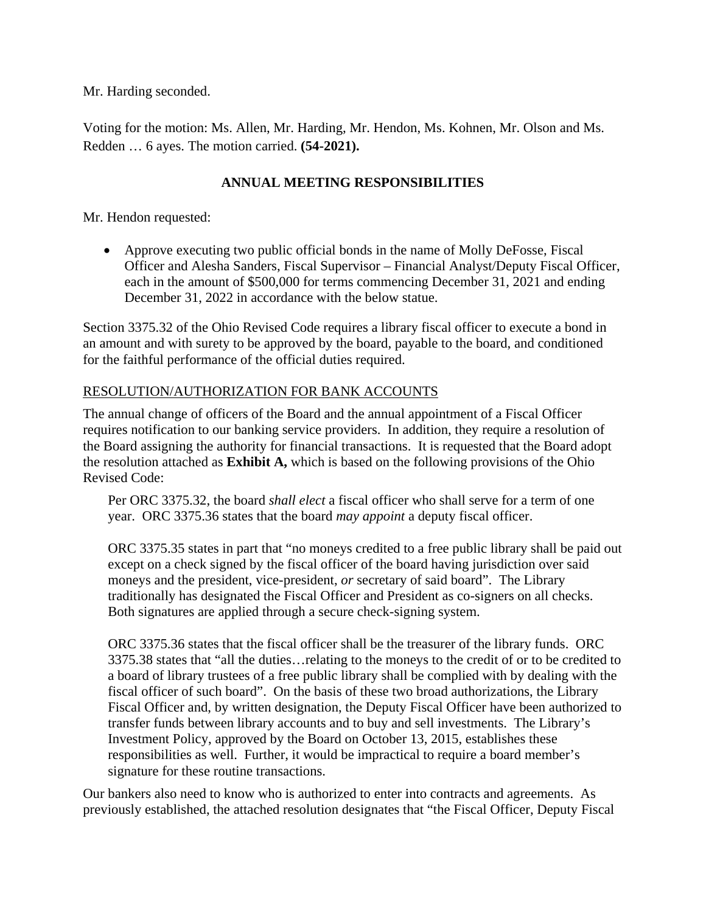Mr. Harding seconded.

Voting for the motion: Ms. Allen, Mr. Harding, Mr. Hendon, Ms. Kohnen, Mr. Olson and Ms. Redden … 6 ayes. The motion carried. **(54-2021).**

## **ANNUAL MEETING RESPONSIBILITIES**

Mr. Hendon requested:

• Approve executing two public official bonds in the name of Molly DeFosse, Fiscal Officer and Alesha Sanders, Fiscal Supervisor – Financial Analyst/Deputy Fiscal Officer, each in the amount of \$500,000 for terms commencing December 31, 2021 and ending December 31, 2022 in accordance with the below statue.

Section 3375.32 of the Ohio Revised Code requires a library fiscal officer to execute a bond in an amount and with surety to be approved by the board, payable to the board, and conditioned for the faithful performance of the official duties required.

## RESOLUTION/AUTHORIZATION FOR BANK ACCOUNTS

The annual change of officers of the Board and the annual appointment of a Fiscal Officer requires notification to our banking service providers. In addition, they require a resolution of the Board assigning the authority for financial transactions. It is requested that the Board adopt the resolution attached as **Exhibit A,** which is based on the following provisions of the Ohio Revised Code:

Per ORC 3375.32, the board *shall elect* a fiscal officer who shall serve for a term of one year. ORC 3375.36 states that the board *may appoint* a deputy fiscal officer.

ORC 3375.35 states in part that "no moneys credited to a free public library shall be paid out except on a check signed by the fiscal officer of the board having jurisdiction over said moneys and the president, vice-president, *or* secretary of said board". The Library traditionally has designated the Fiscal Officer and President as co-signers on all checks. Both signatures are applied through a secure check-signing system.

ORC 3375.36 states that the fiscal officer shall be the treasurer of the library funds. ORC 3375.38 states that "all the duties…relating to the moneys to the credit of or to be credited to a board of library trustees of a free public library shall be complied with by dealing with the fiscal officer of such board". On the basis of these two broad authorizations, the Library Fiscal Officer and, by written designation, the Deputy Fiscal Officer have been authorized to transfer funds between library accounts and to buy and sell investments. The Library's Investment Policy, approved by the Board on October 13, 2015, establishes these responsibilities as well. Further, it would be impractical to require a board member's signature for these routine transactions.

Our bankers also need to know who is authorized to enter into contracts and agreements. As previously established, the attached resolution designates that "the Fiscal Officer, Deputy Fiscal